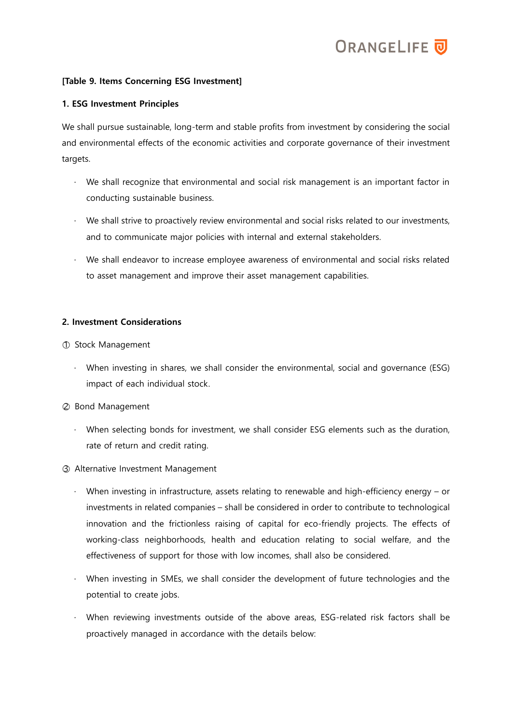

## [Table 9. Items Concerning ESG Investment]

## 1. ESG Investment Principles

We shall pursue sustainable, long-term and stable profits from investment by considering the social and environmental effects of the economic activities and corporate governance of their investment targets.

- We shall recognize that environmental and social risk management is an important factor in conducting sustainable business.
- ‧ We shall strive to proactively review environmental and social risks related to our investments, and to communicate major policies with internal and external stakeholders.
- ‧ We shall endeavor to increase employee awareness of environmental and social risks related to asset management and improve their asset management capabilities.

## 2. Investment Considerations

- ○1 Stock Management
	- ‧ When investing in shares, we shall consider the environmental, social and governance (ESG) impact of each individual stock.
- ○2 Bond Management
	- ‧ When selecting bonds for investment, we shall consider ESG elements such as the duration, rate of return and credit rating.
- ○3 Alternative Investment Management
	- When investing in infrastructure, assets relating to renewable and high-efficiency energy  $-$  or investments in related companies – shall be considered in order to contribute to technological innovation and the frictionless raising of capital for eco-friendly projects. The effects of working-class neighborhoods, health and education relating to social welfare, and the effectiveness of support for those with low incomes, shall also be considered.
	- When investing in SMEs, we shall consider the development of future technologies and the potential to create jobs.
	- ‧ When reviewing investments outside of the above areas, ESG-related risk factors shall be proactively managed in accordance with the details below: